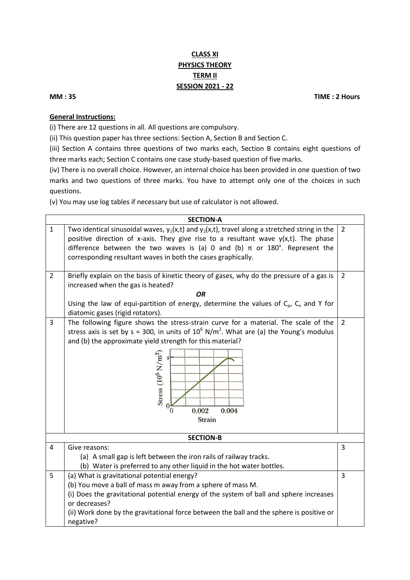## **CLASS XI PHYSICS THEORY TERM II SESSION 2021 - 22**

**General Instructions:**

(i) There are 12 questions in all. All questions are compulsory.

(ii) This question paper has three sections: Section A, Section B and Section C.

(iii) Section A contains three questions of two marks each, Section B contains eight questions of three marks each; Section C contains one case study-based question of five marks.

(iv) There is no overall choice. However, an internal choice has been provided in one question of two marks and two questions of three marks. You have to attempt only one of the choices in such questions.

(v) You may use log tables if necessary but use of calculator is not allowed.

| <b>SECTION-A</b> |                                                                                                                                                                                                                                                                                                                                                          |                |  |  |  |
|------------------|----------------------------------------------------------------------------------------------------------------------------------------------------------------------------------------------------------------------------------------------------------------------------------------------------------------------------------------------------------|----------------|--|--|--|
| $\mathbf{1}$     | Two identical sinusoidal waves, $y_1(x,t)$ and $y_2(x,t)$ , travel along a stretched string in the<br>positive direction of x-axis. They give rise to a resultant wave $y(x,t)$ . The phase<br>difference between the two waves is (a) 0 and (b) $\pi$ or 180°. Represent the<br>corresponding resultant waves in both the cases graphically.            | $\overline{2}$ |  |  |  |
| $\overline{2}$   | Briefly explain on the basis of kinetic theory of gases, why do the pressure of a gas is<br>increased when the gas is heated?<br>ΟR                                                                                                                                                                                                                      | $\overline{2}$ |  |  |  |
|                  | Using the law of equi-partition of energy, determine the values of $C_p$ , $C_v$ and Y for<br>diatomic gases (rigid rotators).                                                                                                                                                                                                                           |                |  |  |  |
| 3                | The following figure shows the stress-strain curve for a material. The scale of the<br>stress axis is set by $s = 300$ , in units of $10^6$ N/m <sup>2</sup> . What are (a) the Young's modulus<br>and (b) the approximate yield strength for this material?<br>Stress $(10^6 \text{ N/m}^2)$<br>$\Omega$<br>0.002<br>0.004<br>$\Omega$<br><b>Strain</b> | $\overline{2}$ |  |  |  |
|                  | <b>SECTION-B</b>                                                                                                                                                                                                                                                                                                                                         |                |  |  |  |
| 4                | Give reasons:<br>(a) A small gap is left between the iron rails of railway tracks.<br>(b) Water is preferred to any other liquid in the hot water bottles.                                                                                                                                                                                               |                |  |  |  |
| 5                | (a) What is gravitational potential energy?<br>(b) You move a ball of mass m away from a sphere of mass M.<br>(i) Does the gravitational potential energy of the system of ball and sphere increases<br>or decreases?<br>(ii) Work done by the gravitational force between the ball and the sphere is positive or<br>negative?                           |                |  |  |  |

**MM : 35 TIME : 2 Hours**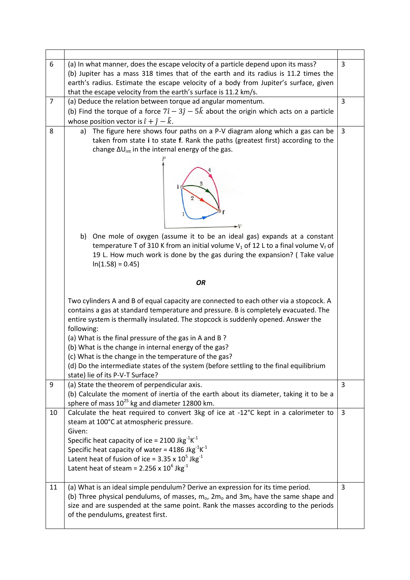| (a) In what manner, does the escape velocity of a particle depend upon its mass?<br>(b) Jupiter has a mass 318 times that of the earth and its radius is 11.2 times the<br>earth's radius. Estimate the escape velocity of a body from Jupiter's surface, given   |                                                                                                                                                                                                                                                                                                                                                                                                                                                                                                                                                                                                                                                                                                                                                                                                             |  |  |  |
|-------------------------------------------------------------------------------------------------------------------------------------------------------------------------------------------------------------------------------------------------------------------|-------------------------------------------------------------------------------------------------------------------------------------------------------------------------------------------------------------------------------------------------------------------------------------------------------------------------------------------------------------------------------------------------------------------------------------------------------------------------------------------------------------------------------------------------------------------------------------------------------------------------------------------------------------------------------------------------------------------------------------------------------------------------------------------------------------|--|--|--|
| 3                                                                                                                                                                                                                                                                 |                                                                                                                                                                                                                                                                                                                                                                                                                                                                                                                                                                                                                                                                                                                                                                                                             |  |  |  |
|                                                                                                                                                                                                                                                                   |                                                                                                                                                                                                                                                                                                                                                                                                                                                                                                                                                                                                                                                                                                                                                                                                             |  |  |  |
|                                                                                                                                                                                                                                                                   |                                                                                                                                                                                                                                                                                                                                                                                                                                                                                                                                                                                                                                                                                                                                                                                                             |  |  |  |
| a) The figure here shows four paths on a P-V diagram along which a gas can be<br>8<br>taken from state i to state f. Rank the paths (greatest first) according to the<br>change $\Delta U_{int}$ in the internal energy of the gas.                               |                                                                                                                                                                                                                                                                                                                                                                                                                                                                                                                                                                                                                                                                                                                                                                                                             |  |  |  |
| ٠V                                                                                                                                                                                                                                                                |                                                                                                                                                                                                                                                                                                                                                                                                                                                                                                                                                                                                                                                                                                                                                                                                             |  |  |  |
| b)<br>temperature T of 310 K from an initial volume $V_1$ of 12 L to a final volume $V_f$ of<br>19 L. How much work is done by the gas during the expansion? (Take value<br>$ln(1.58) = 0.45$                                                                     |                                                                                                                                                                                                                                                                                                                                                                                                                                                                                                                                                                                                                                                                                                                                                                                                             |  |  |  |
| <b>OR</b>                                                                                                                                                                                                                                                         |                                                                                                                                                                                                                                                                                                                                                                                                                                                                                                                                                                                                                                                                                                                                                                                                             |  |  |  |
| Two cylinders A and B of equal capacity are connected to each other via a stopcock. A<br>contains a gas at standard temperature and pressure. B is completely evacuated. The<br>entire system is thermally insulated. The stopcock is suddenly opened. Answer the |                                                                                                                                                                                                                                                                                                                                                                                                                                                                                                                                                                                                                                                                                                                                                                                                             |  |  |  |
| (a) What is the final pressure of the gas in A and B?                                                                                                                                                                                                             |                                                                                                                                                                                                                                                                                                                                                                                                                                                                                                                                                                                                                                                                                                                                                                                                             |  |  |  |
| (b) What is the change in internal energy of the gas?                                                                                                                                                                                                             |                                                                                                                                                                                                                                                                                                                                                                                                                                                                                                                                                                                                                                                                                                                                                                                                             |  |  |  |
| (c) What is the change in the temperature of the gas?                                                                                                                                                                                                             |                                                                                                                                                                                                                                                                                                                                                                                                                                                                                                                                                                                                                                                                                                                                                                                                             |  |  |  |
| (d) Do the intermediate states of the system (before settling to the final equilibrium                                                                                                                                                                            |                                                                                                                                                                                                                                                                                                                                                                                                                                                                                                                                                                                                                                                                                                                                                                                                             |  |  |  |
| state) lie of its P-V-T Surface?<br>3                                                                                                                                                                                                                             |                                                                                                                                                                                                                                                                                                                                                                                                                                                                                                                                                                                                                                                                                                                                                                                                             |  |  |  |
| (b) Calculate the moment of inertia of the earth about its diameter, taking it to be a                                                                                                                                                                            |                                                                                                                                                                                                                                                                                                                                                                                                                                                                                                                                                                                                                                                                                                                                                                                                             |  |  |  |
| Calculate the heat required to convert 3kg of ice at -12°C kept in a calorimeter to<br>10<br>steam at 100°C at atmospheric pressure.<br>Given:                                                                                                                    |                                                                                                                                                                                                                                                                                                                                                                                                                                                                                                                                                                                                                                                                                                                                                                                                             |  |  |  |
|                                                                                                                                                                                                                                                                   |                                                                                                                                                                                                                                                                                                                                                                                                                                                                                                                                                                                                                                                                                                                                                                                                             |  |  |  |
|                                                                                                                                                                                                                                                                   |                                                                                                                                                                                                                                                                                                                                                                                                                                                                                                                                                                                                                                                                                                                                                                                                             |  |  |  |
| Latent heat of steam = $2.256 \times 10^6$ Jkg <sup>-1</sup>                                                                                                                                                                                                      |                                                                                                                                                                                                                                                                                                                                                                                                                                                                                                                                                                                                                                                                                                                                                                                                             |  |  |  |
|                                                                                                                                                                                                                                                                   | 3                                                                                                                                                                                                                                                                                                                                                                                                                                                                                                                                                                                                                                                                                                                                                                                                           |  |  |  |
| 11<br>(b) Three physical pendulums, of masses, $m_o$ , $2m_o$ and $3m_o$ have the same shape and<br>size and are suspended at the same point. Rank the masses according to the periods<br>of the pendulums, greatest first.                                       |                                                                                                                                                                                                                                                                                                                                                                                                                                                                                                                                                                                                                                                                                                                                                                                                             |  |  |  |
|                                                                                                                                                                                                                                                                   | that the escape velocity from the earth's surface is 11.2 km/s.<br>(a) Deduce the relation between torque ad angular momentum.<br>(b) Find the torque of a force $7\hat{i} - 3\hat{j} - 5\hat{k}$ about the origin which acts on a particle<br>whose position vector is $\hat{i} + \hat{j} - \hat{k}$ .<br>One mole of oxygen (assume it to be an ideal gas) expands at a constant<br>following:<br>(a) State the theorem of perpendicular axis.<br>sphere of mass 10 <sup>25</sup> kg and diameter 12800 km.<br>Specific heat capacity of ice = 2100 Jkg $^{-1}$ K $^{-1}$<br>Specific heat capacity of water = 4186 Jkg $^{-1}$ K <sup>-1</sup><br>Latent heat of fusion of ice = $3.35 \times 10^5$ Jkg <sup>-1</sup><br>(a) What is an ideal simple pendulum? Derive an expression for its time period. |  |  |  |